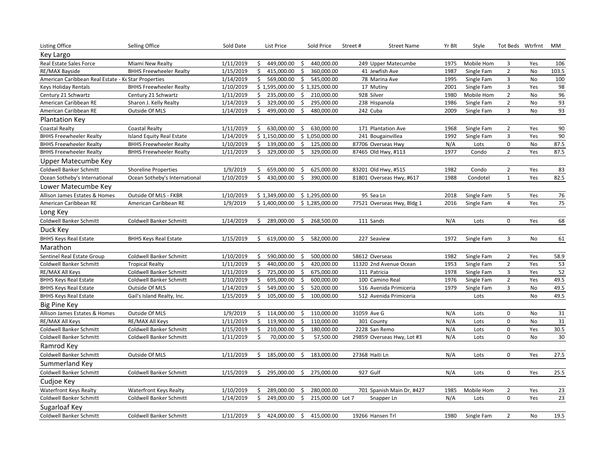| <b>Listing Office</b>                               | Selling Office                 | Sold Date |    | List Price     |    | Sold Price       | Street# | <b>Street Name</b>         | Yr Blt | Style      | Tot Beds Wtrfrnt |           | МM     |
|-----------------------------------------------------|--------------------------------|-----------|----|----------------|----|------------------|---------|----------------------------|--------|------------|------------------|-----------|--------|
| Key Largo                                           |                                |           |    |                |    |                  |         |                            |        |            |                  |           |        |
| Real Estate Sales Force                             | Miami New Realty               | 1/11/2019 | Ŝ. | 449,000.00     | \$ | 440,000.00       |         | 249 Upper Matecumbe        | 1975   | Mobile Hom | 3                | Yes       | 106    |
| RE/MAX Bayside                                      | <b>BHHS Freewheeler Realty</b> | 1/15/2019 | \$ | 415,000.00     | \$ | 360,000.00       |         | 41 Jewfish Ave             | 1987   | Single Fam | $\mathbf 2$      | No        | 103.5  |
| American Caribbean Real Estate - Ke Star Properties |                                | 1/14/2019 | \$ | 569,000.00     | \$ | 545,000.00       |         | 78 Marina Ave              | 1995   | Single Fam | 3                | <b>No</b> | 100    |
| Keys Holiday Rentals                                | <b>BHHS Freewheeler Realty</b> | 1/10/2019 |    | \$1,595,000.00 |    | \$1,325,000.00   |         | 17 Mutiny                  | 2001   | Single Fam | 3                | Yes       | 98     |
| Century 21 Schwartz                                 | Century 21 Schwartz            | 1/11/2019 | \$ | 235,000.00     | \$ | 210,000.00       |         | 928 Silver                 | 1980   | Mobile Hom | $\mathbf 2$      | No        | 96     |
| American Caribbean RE                               | Sharon J. Kelly Realty         | 1/14/2019 | \$ | 329,000.00     | \$ | 295,000.00       |         | 238 Hispanola              | 1986   | Single Fam | $\overline{2}$   | No        | 93     |
| American Caribbean RE                               | Outside Of MLS                 | 1/14/2019 | \$ | 499,000.00     | \$ | 480,000.00       |         | 242 Cuba                   | 2009   | Single Fam | 3                | No        | 93     |
| <b>Plantation Key</b>                               |                                |           |    |                |    |                  |         |                            |        |            |                  |           |        |
| <b>Coastal Realty</b>                               | Coastal Realty                 | 1/11/2019 | \$ | 630,000.00     | \$ | 630,000.00       |         | 171 Plantation Ave         | 1968   | Single Fam | $\overline{2}$   | Yes       | 90     |
| <b>BHHS Freewheeler Realty</b>                      | Island Equity Real Estate      | 1/14/2019 |    | \$1,150,000.00 |    | \$1,050,000.00   |         | 241 Bougainvillea          | 1992   | Single Fam | 3                | Yes       | 90     |
| <b>BHHS Freewheeler Realty</b>                      | <b>BHHS Freewheeler Realty</b> | 1/10/2019 |    | \$139,000.00   | \$ | 125,000.00       |         | 87706 Overseas Hwy         | N/A    | Lots       | 0                | No        | 87.5   |
| <b>BHHS Freewheeler Realty</b>                      | <b>BHHS Freewheeler Realty</b> | 1/11/2019 | \$ | 329,000.00     | \$ | 329,000.00       |         | 87465 Old Hwy, #113        | 1977   | Condo      | $\overline{2}$   | Yes       | 87.5   |
| Upper Matecumbe Key                                 |                                |           |    |                |    |                  |         |                            |        |            |                  |           |        |
| <b>Coldwell Banker Schmitt</b>                      | <b>Shoreline Properties</b>    | 1/9/2019  | \$ | 659,000.00     | \$ | 625,000.00       |         | 83201 Old Hwy, #515        | 1982   | Condo      | $\overline{2}$   | Yes       | 83     |
| Ocean Sotheby's International                       | Ocean Sotheby's International  | 1/10/2019 | \$ | 430,000.00     | \$ | 390,000.00       |         | 81801 Overseas Hwy, #617   | 1988   | Condotel   | $\mathbf{1}$     | Yes       | 82.5   |
| Lower Matecumbe Key                                 |                                |           |    |                |    |                  |         |                            |        |            |                  |           |        |
| Allison James Estates & Homes                       | Outside Of MLS - FKBR          | 1/10/2019 |    | \$1,349,000.00 |    | \$1,295,000.00   |         | 95 Sea Ln                  | 2018   | Single Fam | 5                | Yes       | $76\,$ |
| American Caribbean RE                               | American Caribbean RE          | 1/9/2019  |    | \$1,400,000.00 |    | \$1,285,000.00   |         | 77521 Overseas Hwy, Bldg 1 | 2016   | Single Fam | 4                | Yes       | 75     |
| Long Key                                            |                                |           |    |                |    |                  |         |                            |        |            |                  |           |        |
| Coldwell Banker Schmitt                             | Coldwell Banker Schmitt        | 1/14/2019 |    | \$289,000.00   | \$ | 268,500.00       |         | 111 Sands                  | N/A    | Lots       | 0                | Yes       | 68     |
| Duck Key                                            |                                |           |    |                |    |                  |         |                            |        |            |                  |           |        |
| <b>BHHS Keys Real Estate</b>                        | <b>BHHS Keys Real Estate</b>   | 1/15/2019 | \$ | 619,000.00     | \$ | 582,000.00       |         | 227 Seaview                | 1972   | Single Fam | 3                | No        | 61     |
| Marathon                                            |                                |           |    |                |    |                  |         |                            |        |            |                  |           |        |
| Sentinel Real Estate Group                          | Coldwell Banker Schmitt        | 1/10/2019 | \$ | 590,000.00     | \$ | 500,000.00       |         | 58612 Overseas             | 1982   | Single Fam | $\overline{2}$   | Yes       | 58.9   |
| <b>Coldwell Banker Schmitt</b>                      | <b>Tropical Realty</b>         | 1/11/2019 | \$ | 440,000.00     | \$ | 420,000.00       |         | 11320 2nd Avenue Ocean     | 1953   | Single Fam | $\overline{2}$   | Yes       | 53     |
| RE/MAX All Keys                                     | Coldwell Banker Schmitt        | 1/11/2019 | \$ | 725,000.00     | \$ | 675,000.00       |         | 111 Patricia               | 1978   | Single Fam | 3                | Yes       | 52     |
| <b>BHHS Keys Real Estate</b>                        | Coldwell Banker Schmitt        | 1/10/2019 | \$ | 695,000.00     | \$ | 600,000.00       |         | 100 Camino Real            | 1976   | Single Fam | $\overline{2}$   | Yes       | 49.5   |
| <b>BHHS Keys Real Estate</b>                        | Outside Of MLS                 | 1/14/2019 | \$ | 549,000.00     | \$ | 520,000.00       |         | 516 Avenida Primiceria     | 1979   | Single Fam | 3                | No        | 49.5   |
| <b>BHHS Keys Real Estate</b>                        | Gail's Island Realty, Inc.     | 1/15/2019 | Ś. | 105,000.00     | \$ | 100,000.00       |         | 512 Avenida Primiceria     |        | Lots       |                  | No        | 49.5   |
| <b>Big Pine Key</b>                                 |                                |           |    |                |    |                  |         |                            |        |            |                  |           |        |
| Allison James Estates & Homes                       | Outside Of MLS                 | 1/9/2019  |    | \$114,000.00   | \$ | 110,000.00       |         | 31059 Ave G                | N/A    | Lots       | 0                | No        | 31     |
| RE/MAX All Keys                                     | RE/MAX All Keys                | 1/11/2019 | \$ | 119,900.00     | \$ | 110,000.00       |         | 301 County                 | N/A    | Lots       | 0                | <b>No</b> | 31     |
| <b>Coldwell Banker Schmitt</b>                      | Coldwell Banker Schmitt        | 1/15/2019 | \$ | 210,000.00     | \$ | 180,000.00       |         | 2228 San Remo              | N/A    | Lots       | 0                | Yes       | 30.5   |
| <b>Coldwell Banker Schmitt</b>                      | Coldwell Banker Schmitt        | 1/11/2019 | \$ | 70,000.00      | \$ | 57,500.00        |         | 29859 Overseas Hwy, Lot #3 | N/A    | Lots       | 0                | No        | $30\,$ |
| Ramrod Key                                          |                                |           |    |                |    |                  |         |                            |        |            |                  |           |        |
| Coldwell Banker Schmitt                             | Outside Of MLS                 | 1/11/2019 |    | \$185,000.00   | \$ | 183,000.00       |         | 27368 Haiti Ln             | N/A    | Lots       | 0                | Yes       | 27.5   |
| Summerland Key                                      |                                |           |    |                |    |                  |         |                            |        |            |                  |           |        |
| Coldwell Banker Schmitt                             | Coldwell Banker Schmitt        | 1/15/2019 | \$ | 295,000.00     | S. | 275,000.00       |         | 927 Gulf                   | N/A    | Lots       | $\mathbf 0$      | Yes       | 25.5   |
| Cudjoe Key                                          |                                |           |    |                |    |                  |         |                            |        |            |                  |           |        |
| <b>Waterfront Keys Realty</b>                       | <b>Waterfront Keys Realty</b>  | 1/10/2019 | \$ | 289,000.00     | \$ | 280,000.00       |         | 701 Spanish Main Dr, #427  | 1985   | Mobile Hom | $\overline{2}$   | Yes       | 23     |
| <b>Coldwell Banker Schmitt</b>                      | Coldwell Banker Schmitt        | 1/14/2019 | \$ | 249,000.00     | \$ | 215,000.00 Lot 7 |         | Snapper Ln                 | N/A    | Lots       | $\mathbf 0$      | Yes       | 23     |
| Sugarloaf Key                                       |                                |           |    |                |    |                  |         |                            |        |            |                  |           |        |
| <b>Coldwell Banker Schmitt</b>                      | Coldwell Banker Schmitt        | 1/11/2019 | Ś. | 424,000.00     | \$ | 415,000.00       |         | 19266 Hansen Trl           | 1980   | Single Fam | $\overline{2}$   | No        | 19.5   |